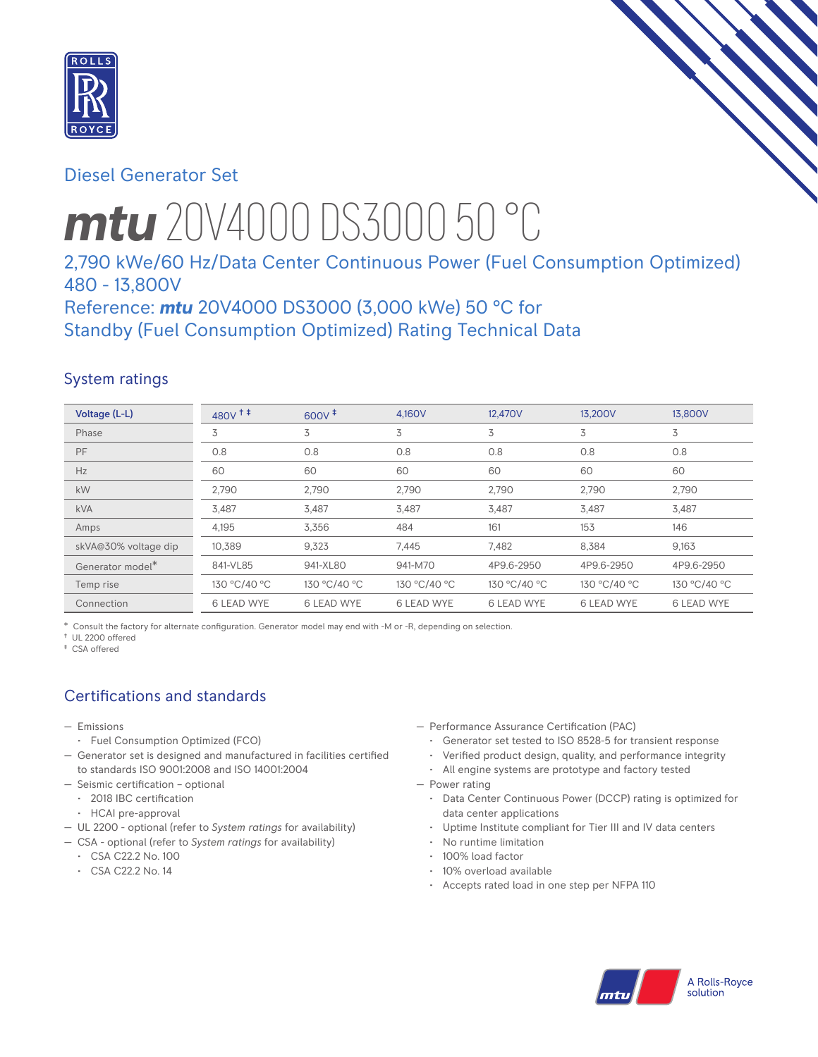

# Diesel Generator Set

# *mtu* 20V4000 DS3000 50 °C

# 2,790 kWe/60 Hz/Data Center Continuous Power (Fuel Consumption Optimized) 480 - 13,800V

Reference: *mtu* 20V4000 DS3000 (3,000 kWe) 50 °C for Standby (Fuel Consumption Optimized) Rating Technical Data

## System ratings

| Voltage (L-L)        | $480V$ <sup>++</sup> | $600V$ <sup><math>#</math></sup> | 4.160V            | 12,470V           | 13.200V           | 13,800V           |
|----------------------|----------------------|----------------------------------|-------------------|-------------------|-------------------|-------------------|
| Phase                | 3                    | 3                                | 3                 | 3                 | 3                 | 3                 |
| PF                   | 0.8                  | 0.8                              | 0.8               | 0.8               | 0.8               | 0.8               |
| Hz                   | 60                   | 60                               | 60                | 60                | 60                | 60                |
| kW                   | 2,790                | 2,790                            | 2,790             | 2,790             | 2,790             | 2,790             |
| <b>kVA</b>           | 3,487                | 3,487                            | 3,487             | 3,487             | 3,487             | 3,487             |
| Amps                 | 4,195                | 3,356                            | 484               | 161               | 153               | 146               |
| skVA@30% voltage dip | 10.389               | 9,323                            | 7.445             | 7.482             | 8.384             | 9,163             |
| Generator model*     | 841-VL85             | 941-XL80                         | 941-M70           | 4P9.6-2950        | 4P9.6-2950        | 4P9.6-2950        |
| Temp rise            | 130 °C/40 °C         | 130 °C/40 °C                     | 130 °C/40 °C      | 130 °C/40 °C      | 130 °C/40 °C      | 130 °C/40 °C      |
| Connection           | 6 LEAD WYE           | <b>6 LEAD WYE</b>                | <b>6 LEAD WYE</b> | <b>6 LEAD WYE</b> | <b>6 LEAD WYE</b> | <b>6 LEAD WYE</b> |

\* Consult the factory for alternate configuration. Generator model may end with -M or -R, depending on selection.

† UL 2200 offered ‡ CSA offered

# Certifications and standards

- Emissions
	- Fuel Consumption Optimized (FCO)
- Generator set is designed and manufactured in facilities certified to standards ISO 9001:2008 and ISO 14001:2004
- Seismic certification optional
	- 2018 IBC certification
	- HCAI pre-approval
- UL 2200 optional (refer to *System ratings* for availability)
- CSA optional (refer to *System ratings* for availability)
	- CSA C22.2 No. 100
	- CSA C22.2 No. 14

— Performance Assurance Certification (PAC)

- Generator set tested to ISO 8528-5 for transient response
- Verified product design, quality, and performance integrity
- All engine systems are prototype and factory tested
- Power rating
	- Data Center Continuous Power (DCCP) rating is optimized for data center applications
	- Uptime Institute compliant for Tier III and IV data centers
	- No runtime limitation
	- 100% load factor
	- 10% overload available
	- Accepts rated load in one step per NFPA 110

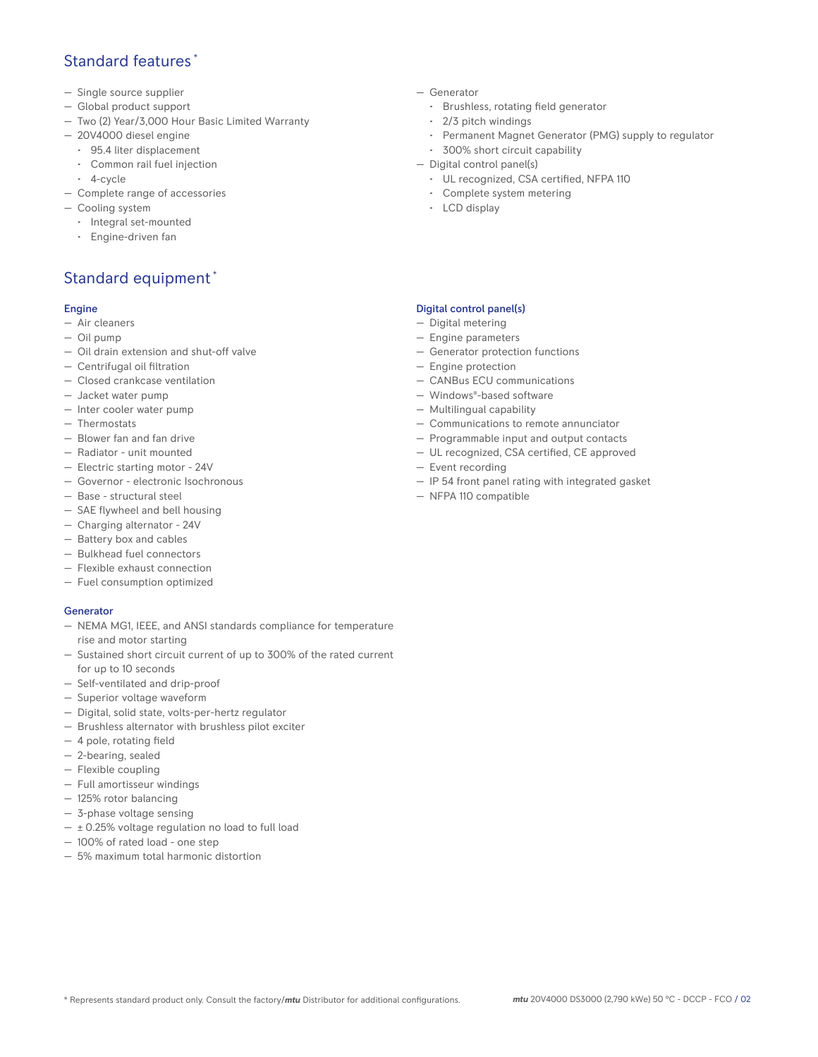## Standard features \*

- Single source supplier
- Global product support
- Two (2) Year/3,000 Hour Basic Limited Warranty
- 20V4000 diesel engine
	- 95.4 liter displacement
	- Common rail fuel injection
- 4-cycle
- Complete range of accessories
- Cooling system
	- Integral set-mounted
	- Engine-driven fan

# Standard equipment \*

#### Engine

- Air cleaners
- Oil pump
- Oil drain extension and shut-off valve
- Centrifugal oil filtration
- Closed crankcase ventilation
- Jacket water pump
- Inter cooler water pump
- Thermostats
- Blower fan and fan drive
- Radiator unit mounted
- Electric starting motor 24V
- Governor electronic Isochronous
- Base structural steel
- SAE flywheel and bell housing
- Charging alternator 24V
- Battery box and cables
- Bulkhead fuel connectors
- Flexible exhaust connection
- Fuel consumption optimized

## **Generator**

- NEMA MG1, IEEE, and ANSI standards compliance for temperature rise and motor starting
- Sustained short circuit current of up to 300% of the rated current for up to 10 seconds
- Self-ventilated and drip-proof
- Superior voltage waveform
- Digital, solid state, volts-per-hertz regulator
- Brushless alternator with brushless pilot exciter
- 4 pole, rotating field
- 2-bearing, sealed
- Flexible coupling
- Full amortisseur windings
- 125% rotor balancing
- 3-phase voltage sensing
- $\pm$  0.25% voltage regulation no load to full load
- 100% of rated load one step
- 5% maximum total harmonic distortion
- Generator
	- Brushless, rotating field generator
	- 2/3 pitch windings
	- Permanent Magnet Generator (PMG) supply to regulator
	- 300% short circuit capability
- Digital control panel(s)
	- UL recognized, CSA certified, NFPA 110
	- Complete system metering
	- LCD display

## Digital control panel(s)

- Digital metering
- Engine parameters
- Generator protection functions
- Engine protection
- CANBus ECU communications
- Windows®-based software
- Multilingual capability
- Communications to remote annunciator
- Programmable input and output contacts
- UL recognized, CSA certified, CE approved
- Event recording
- IP 54 front panel rating with integrated gasket
- NFPA 110 compatible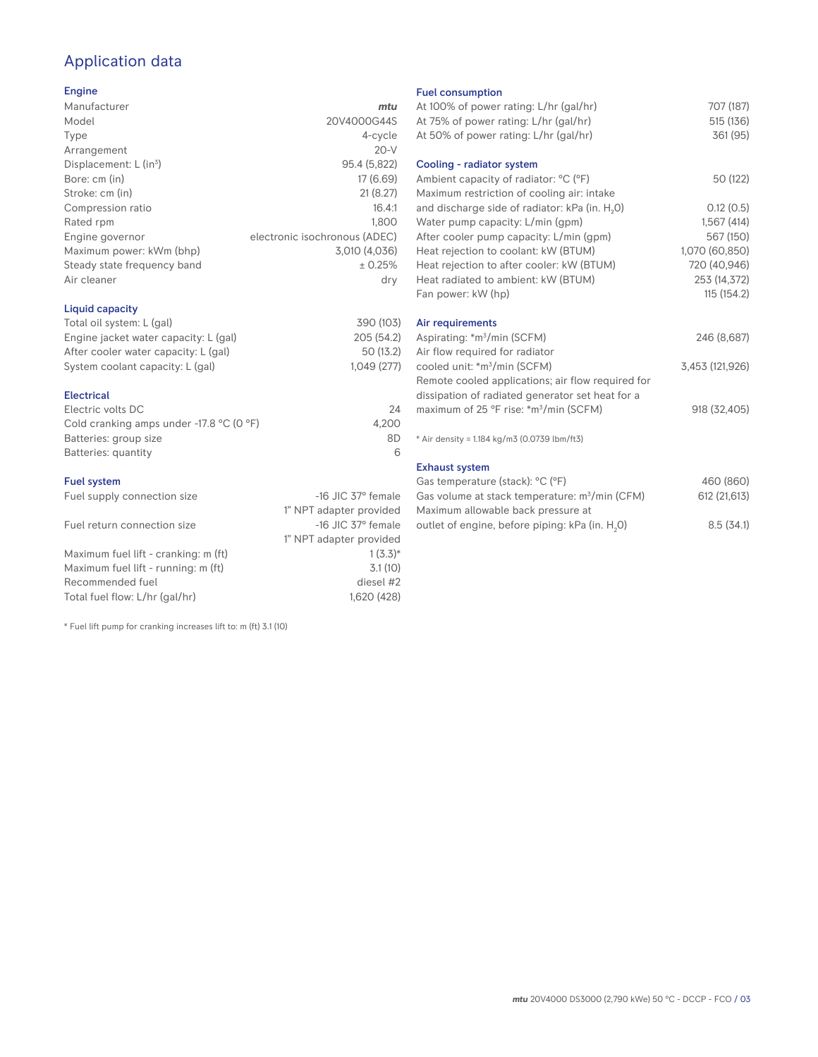# Application data

### Engine

| Manufacturer                         | mtu                           |
|--------------------------------------|-------------------------------|
| Model                                | 20V4000G44S                   |
| Type                                 | 4-cycle                       |
| Arrangement                          | $20-V$                        |
| Displacement: $L$ (in <sup>3</sup> ) | 95.4 (5,822)                  |
| Bore: cm (in)                        | 17 (6.69)                     |
| Stroke: cm (in)                      | 21(8.27)                      |
| Compression ratio                    | 16.4:1                        |
| Rated rpm                            | 1.800                         |
| Engine governor                      | electronic isochronous (ADEC) |
| Maximum power: kWm (bhp)             | 3,010 (4,036)                 |
| Steady state frequency band          | ± 0.25%                       |
| Air cleaner                          | dry                           |
|                                      |                               |

## Liquid capacity

| Total oil system: L (gal)             | 390 (103)  |
|---------------------------------------|------------|
| Engine jacket water capacity: L (gal) | 205 (54.2) |
| After cooler water capacity: L (gal)  | 50 (13.2)  |
| System coolant capacity: L (gal)      | 1.049(277) |
|                                       |            |

#### Electrical

| Electric volts DC                                            | 24    |
|--------------------------------------------------------------|-------|
| Cold cranking amps under -17.8 $^{\circ}$ C (O $^{\circ}$ F) | 4.200 |
| Batteries: group size                                        | 8D    |
| Batteries: quantity                                          |       |

#### Fuel system

| Fuel supply connection size          | $-16$ JIC 37 $\degree$ female |
|--------------------------------------|-------------------------------|
|                                      | 1" NPT adapter provided       |
| Fuel return connection size          | $-16$ JIC 37 $\degree$ female |
|                                      | 1" NPT adapter provided       |
| Maximum fuel lift - cranking: m (ft) | $1(3.3)*$                     |
| Maximum fuel lift - running: m (ft)  | 3.1(10)                       |
| Recommended fuel                     | diesel #2                     |
| Total fuel flow: L/hr (gal/hr)       | 1.620 (428)                   |

\* Fuel lift pump for cranking increases lift to: m (ft) 3.1 (10)

#### Fuel consumption

| At 100% of power rating: L/hr (gal/hr)                                              | 707 (187)       |
|-------------------------------------------------------------------------------------|-----------------|
| At 75% of power rating: L/hr (gal/hr)                                               | 515 (136)       |
| At 50% of power rating: L/hr (gal/hr)                                               | 361 (95)        |
| Cooling - radiator system                                                           |                 |
| Ambient capacity of radiator: °C (°F)<br>Maximum restriction of cooling air: intake | 50 (122)        |
| and discharge side of radiator: kPa (in. H <sub>2</sub> 0)                          | 0.12(0.5)       |
| Water pump capacity: L/min (gpm)                                                    | 1,567(414)      |
| After cooler pump capacity: L/min (gpm)                                             | 567 (150)       |
| Heat rejection to coolant: kW (BTUM)                                                | 1,070 (60,850)  |
| Heat rejection to after cooler: kW (BTUM)                                           | 720 (40,946)    |
| Heat radiated to ambient: kW (BTUM)                                                 | 253 (14,372)    |
| Fan power: kW (hp)                                                                  | 115(154.2)      |
| Air requirements                                                                    |                 |
| Aspirating: *m <sup>3</sup> /min (SCFM)                                             | 246 (8,687)     |
| Air flow required for radiator                                                      |                 |
| cooled unit: *m <sup>3</sup> /min (SCFM)                                            | 3,453 (121,926) |
| Remote cooled applications; air flow required for                                   |                 |
| dissipation of radiated generator set heat for a                                    |                 |
| maximum of 25 °F rise: *m <sup>3</sup> /min (SCFM)                                  | 918 (32,405)    |
| * Air density = 1.184 kg/m3 (0.0739 lbm/ft3)                                        |                 |
| <b>Exhaust system</b>                                                               |                 |
| Gas temperature (stack): °C (°F)                                                    | 460 (860)       |
| Gas volume at stack temperature: m <sup>3</sup> /min (CFM)                          | 612 (21,613)    |

| Uas vuluntu al slaun lungualuru. III / IIIIII (UI IVI) | $U_1Z_2Z_3U_1U_1$ |
|--------------------------------------------------------|-------------------|
| Maximum allowable back pressure at                     |                   |
| outlet of engine, before piping: kPa (in. H.O)         | 8.5(34.1)         |